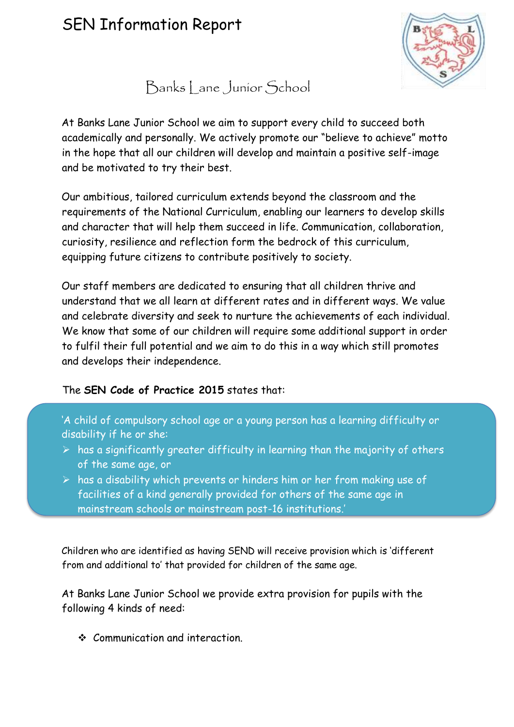

Banks Lane Junior School

At Banks Lane Junior School we aim to support every child to succeed both academically and personally. We actively promote our "believe to achieve" motto in the hope that all our children will develop and maintain a positive self-image and be motivated to try their best.

Our ambitious, tailored curriculum extends beyond the classroom and the requirements of the National Curriculum, enabling our learners to develop skills and character that will help them succeed in life. Communication, collaboration, curiosity, resilience and reflection form the bedrock of this curriculum, equipping future citizens to contribute positively to society.

Our staff members are dedicated to ensuring that all children thrive and understand that we all learn at different rates and in different ways. We value and celebrate diversity and seek to nurture the achievements of each individual. We know that some of our children will require some additional support in order to fulfil their full potential and we aim to do this in a way which still promotes and develops their independence.

## The **SEN Code of Practice 2015** states that:

'A child of compulsory school age or a young person has a learning difficulty or disability if he or she:

- $\triangleright$  has a significantly greater difficulty in learning than the majority of others of the same age, or
- $\triangleright$  has a disability which prevents or hinders him or her from making use of facilities of a kind generally provided for others of the same age in mainstream schools or mainstream post-16 institutions.'

Children who are identified as having SEND will receive provision which is 'different from and additional to' that provided for children of the same age.

At Banks Lane Junior School we provide extra provision for pupils with the following 4 kinds of need:

Communication and interaction.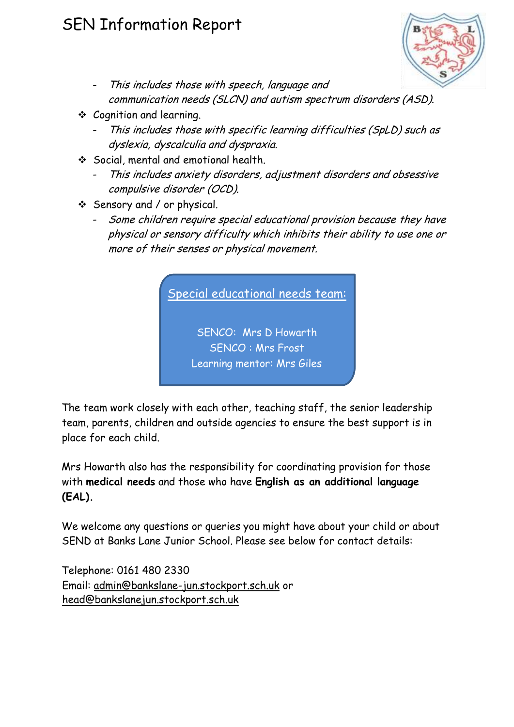

- This includes those with speech, language and communication needs (SLCN) and autism spectrum disorders (ASD).
- Cognition and learning.
	- This includes those with specific learning difficulties (SpLD) such as dyslexia, dyscalculia and dyspraxia.
- ◆ Social, mental and emotional health.
	- This includes anxiety disorders, adjustment disorders and obsessive compulsive disorder (OCD).
- Sensory and / or physical.
	- Some children require special educational provision because they have physical or sensory difficulty which inhibits their ability to use one or more of their senses or physical movement.



The team work closely with each other, teaching staff, the senior leadership team, parents, children and outside agencies to ensure the best support is in place for each child.

Mrs Howarth also has the responsibility for coordinating provision for those with **medical needs** and those who have **English as an additional language (EAL).**

We welcome any questions or queries you might have about your child or about SEND at Banks Lane Junior School. Please see below for contact details:

Telephone: 0161 480 2330 Email: admin@bankslane-jun.stockport.sch.uk or head@bankslanejun.stockport.sch.uk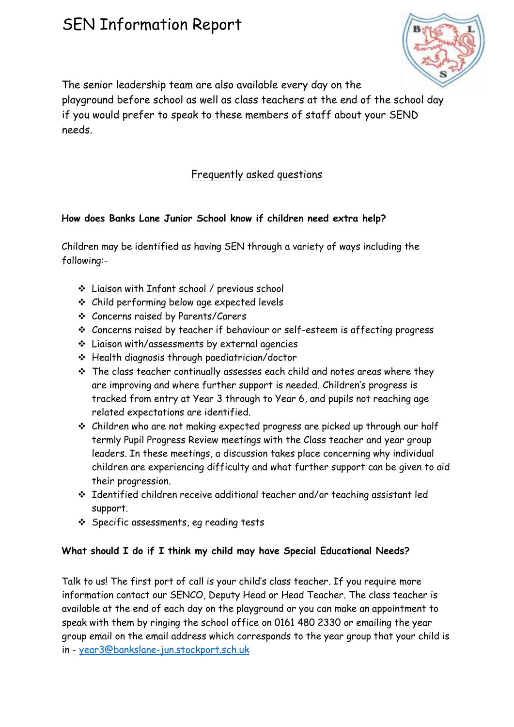

The senior leadership team are also available every day on the

playground before school as well as class teachers at the end of the school day if you would prefer to speak to these members of staff about your SEND needs.

## Frequently asked questions

### **How does Banks Lane Junior School know if children need extra help?**

Children may be identified as having SEN through a variety of ways including the following:-

- Liaison with Infant school / previous school
- Child performing below age expected levels
- Concerns raised by Parents/Carers
- Concerns raised by teacher if behaviour or self-esteem is affecting progress
- Liaison with/assessments by external agencies
- Health diagnosis through paediatrician/doctor
- \* The class teacher continually assesses each child and notes areas where they are improving and where further support is needed. Children's progress is tracked from entry at Year 3 through to Year 6, and pupils not reaching age related expectations are identified.
- Children who are not making expected progress are picked up through our half termly Pupil Progress Review meetings with the Class teacher and year group leaders. In these meetings, a discussion takes place concerning why individual children are experiencing difficulty and what further support can be given to aid their progression.
- Identified children receive additional teacher and/or teaching assistant led support.
- Specific assessments, eg reading tests

### **What should I do if I think my child may have Special Educational Needs?**

Talk to us! The first port of call is your child's class teacher. If you require more information contact our SENCO, Deputy Head or Head Teacher. The class teacher is available at the end of each day on the playground or you can make an appointment to speak with them by ringing the school office on 0161 480 2330 or emailing the year group email on the email address which corresponds to the year group that your child is in - [year3@bankslane-jun.stockport.sch.uk](mailto:year3@bankslane-jun.stockport.sch.uk)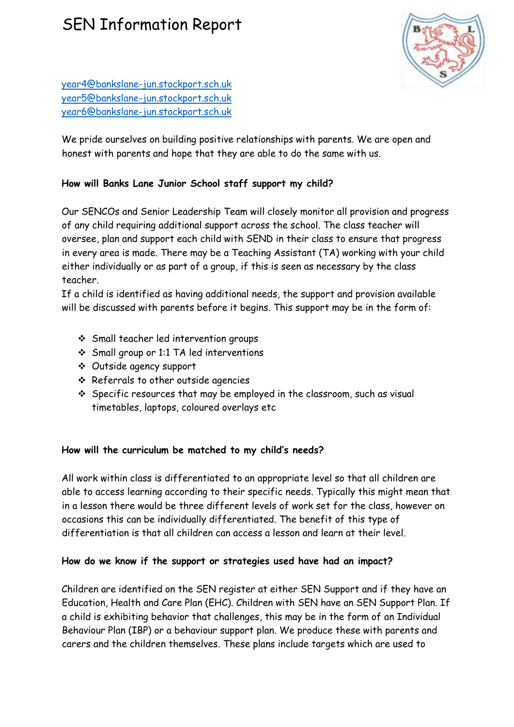

[year4@bankslane-jun.stockport.sch.uk](mailto:year4@bankslane-jun.stockport.sch.uk) [year5@bankslane-jun.stockport.sch.uk](mailto:year5@bankslane-jun.stockport.sch.uk) [year6@bankslane-jun.stockport.sch.uk](mailto:year6@bankslane-jun.stockport.sch.uk)

We pride ourselves on building positive relationships with parents. We are open and honest with parents and hope that they are able to do the same with us.

#### **How will Banks Lane Junior School staff support my child?**

Our SENCOs and Senior Leadership Team will closely monitor all provision and progress of any child requiring additional support across the school. The class teacher will oversee, plan and support each child with SEND in their class to ensure that progress in every area is made. There may be a Teaching Assistant (TA) working with your child either individually or as part of a group, if this is seen as necessary by the class teacher.

If a child is identified as having additional needs, the support and provision available will be discussed with parents before it begins. This support may be in the form of:

- Small teacher led intervention groups
- Small group or 1:1 TA led interventions
- Outside agency support
- $\div$  Referrals to other outside agencies
- Specific resources that may be employed in the classroom, such as visual timetables, laptops, coloured overlays etc

#### **How will the curriculum be matched to my child's needs?**

All work within class is differentiated to an appropriate level so that all children are able to access learning according to their specific needs. Typically this might mean that in a lesson there would be three different levels of work set for the class, however on occasions this can be individually differentiated. The benefit of this type of differentiation is that all children can access a lesson and learn at their level.

#### **How do we know if the support or strategies used have had an impact?**

Children are identified on the SEN register at either SEN Support and if they have an Education, Health and Care Plan (EHC). Children with SEN have an SEN Support Plan. If a child is exhibiting behavior that challenges, this may be in the form of an Individual Behaviour Plan (IBP) or a behaviour support plan. We produce these with parents and carers and the children themselves. These plans include targets which are used to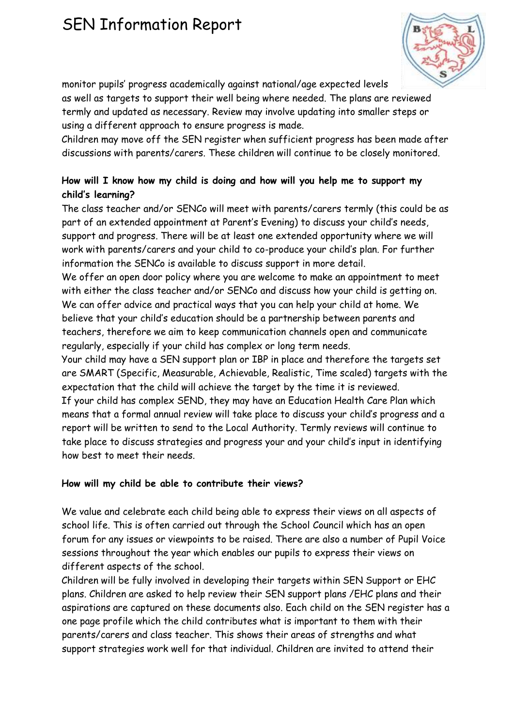monitor pupils' progress academically against national/age expected levels as well as targets to support their well being where needed. The plans are reviewed termly and updated as necessary. Review may involve updating into smaller steps or using a different approach to ensure progress is made.

Children may move off the SEN register when sufficient progress has been made after discussions with parents/carers. These children will continue to be closely monitored.

## **How will I know how my child is doing and how will you help me to support my child's learning?**

The class teacher and/or SENCo will meet with parents/carers termly (this could be as part of an extended appointment at Parent's Evening) to discuss your child's needs, support and progress. There will be at least one extended opportunity where we will work with parents/carers and your child to co-produce your child's plan. For further information the SENCo is available to discuss support in more detail.

We offer an open door policy where you are welcome to make an appointment to meet with either the class teacher and/or SENCo and discuss how your child is getting on. We can offer advice and practical ways that you can help your child at home. We believe that your child's education should be a partnership between parents and teachers, therefore we aim to keep communication channels open and communicate regularly, especially if your child has complex or long term needs.

Your child may have a SEN support plan or IBP in place and therefore the targets set are SMART (Specific, Measurable, Achievable, Realistic, Time scaled) targets with the expectation that the child will achieve the target by the time it is reviewed. If your child has complex SEND, they may have an Education Health Care Plan which means that a formal annual review will take place to discuss your child's progress and a report will be written to send to the Local Authority. Termly reviews will continue to take place to discuss strategies and progress your and your child's input in identifying how best to meet their needs.

### **How will my child be able to contribute their views?**

We value and celebrate each child being able to express their views on all aspects of school life. This is often carried out through the School Council which has an open forum for any issues or viewpoints to be raised. There are also a number of Pupil Voice sessions throughout the year which enables our pupils to express their views on different aspects of the school.

Children will be fully involved in developing their targets within SEN Support or EHC plans. Children are asked to help review their SEN support plans /EHC plans and their aspirations are captured on these documents also. Each child on the SEN register has a one page profile which the child contributes what is important to them with their parents/carers and class teacher. This shows their areas of strengths and what support strategies work well for that individual. Children are invited to attend their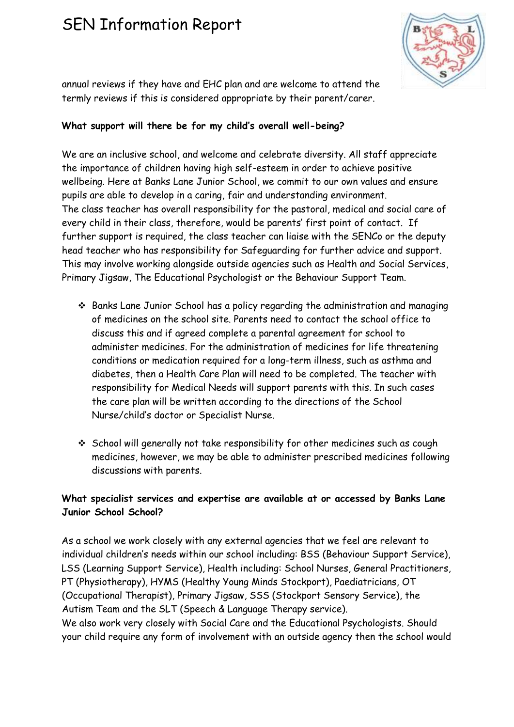

annual reviews if they have and EHC plan and are welcome to attend the termly reviews if this is considered appropriate by their parent/carer.

### **What support will there be for my child's overall well-being?**

We are an inclusive school, and welcome and celebrate diversity. All staff appreciate the importance of children having high self-esteem in order to achieve positive wellbeing. Here at Banks Lane Junior School, we commit to our own values and ensure pupils are able to develop in a caring, fair and understanding environment. The class teacher has overall responsibility for the pastoral, medical and social care of every child in their class, therefore, would be parents' first point of contact. If further support is required, the class teacher can liaise with the SENCo or the deputy head teacher who has responsibility for Safeguarding for further advice and support. This may involve working alongside outside agencies such as Health and Social Services, Primary Jigsaw, The Educational Psychologist or the Behaviour Support Team.

- Banks Lane Junior School has a policy regarding the administration and managing of medicines on the school site. Parents need to contact the school office to discuss this and if agreed complete a parental agreement for school to administer medicines. For the administration of medicines for life threatening conditions or medication required for a long-term illness, such as asthma and diabetes, then a Health Care Plan will need to be completed. The teacher with responsibility for Medical Needs will support parents with this. In such cases the care plan will be written according to the directions of the School Nurse/child's doctor or Specialist Nurse.
- School will generally not take responsibility for other medicines such as cough medicines, however, we may be able to administer prescribed medicines following discussions with parents.

### **What specialist services and expertise are available at or accessed by Banks Lane Junior School School?**

As a school we work closely with any external agencies that we feel are relevant to individual children's needs within our school including: BSS (Behaviour Support Service), LSS (Learning Support Service), Health including: School Nurses, General Practitioners, PT (Physiotherapy), HYMS (Healthy Young Minds Stockport), Paediatricians, OT (Occupational Therapist), Primary Jigsaw, SSS (Stockport Sensory Service), the Autism Team and the SLT (Speech & Language Therapy service). We also work very closely with Social Care and the Educational Psychologists. Should

your child require any form of involvement with an outside agency then the school would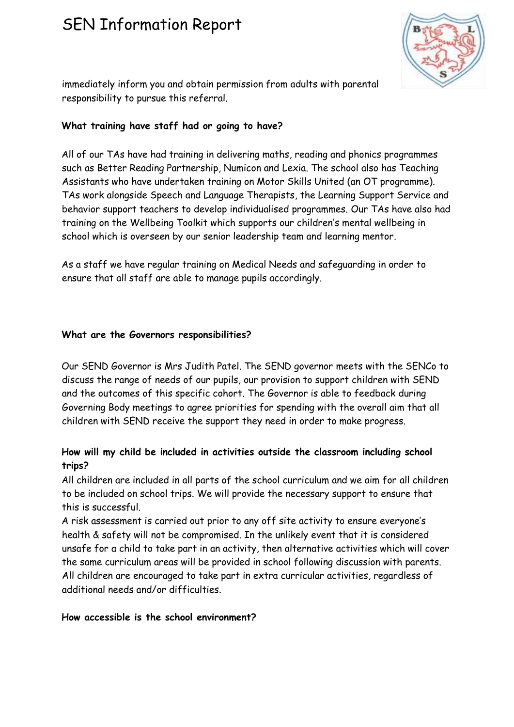

immediately inform you and obtain permission from adults with parental responsibility to pursue this referral.

#### **What training have staff had or going to have?**

All of our TAs have had training in delivering maths, reading and phonics programmes such as Better Reading Partnership, Numicon and Lexia. The school also has Teaching Assistants who have undertaken training on Motor Skills United (an OT programme). TAs work alongside Speech and Language Therapists, the Learning Support Service and behavior support teachers to develop individualised programmes. Our TAs have also had training on the Wellbeing Toolkit which supports our children's mental wellbeing in school which is overseen by our senior leadership team and learning mentor.

As a staff we have regular training on Medical Needs and safeguarding in order to ensure that all staff are able to manage pupils accordingly.

#### **What are the Governors responsibilities?**

Our SEND Governor is Mrs Judith Patel. The SEND governor meets with the SENCo to discuss the range of needs of our pupils, our provision to support children with SEND and the outcomes of this specific cohort. The Governor is able to feedback during Governing Body meetings to agree priorities for spending with the overall aim that all children with SEND receive the support they need in order to make progress.

### **How will my child be included in activities outside the classroom including school trips?**

All children are included in all parts of the school curriculum and we aim for all children to be included on school trips. We will provide the necessary support to ensure that this is successful.

A risk assessment is carried out prior to any off site activity to ensure everyone's health & safety will not be compromised. In the unlikely event that it is considered unsafe for a child to take part in an activity, then alternative activities which will cover the same curriculum areas will be provided in school following discussion with parents. All children are encouraged to take part in extra curricular activities, regardless of additional needs and/or difficulties.

#### **How accessible is the school environment?**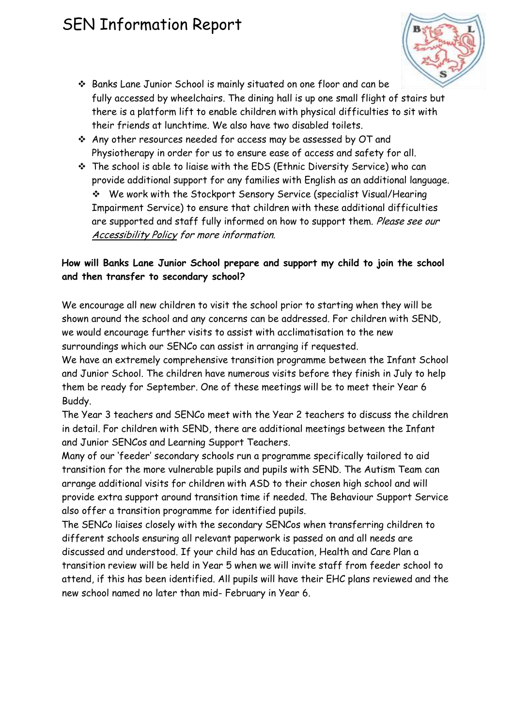

- Banks Lane Junior School is mainly situated on one floor and can be fully accessed by wheelchairs. The dining hall is up one small flight of stairs but there is a platform lift to enable children with physical difficulties to sit with their friends at lunchtime. We also have two disabled toilets.
- Any other resources needed for access may be assessed by OT and Physiotherapy in order for us to ensure ease of access and safety for all.
- The school is able to liaise with the EDS (Ethnic Diversity Service) who can provide additional support for any families with English as an additional language. We work with the Stockport Sensory Service (specialist Visual/Hearing Impairment Service) to ensure that children with these additional difficulties are supported and staff fully informed on how to support them. Please see our Accessibility Policy for more information.

## **How will Banks Lane Junior School prepare and support my child to join the school and then transfer to secondary school?**

We encourage all new children to visit the school prior to starting when they will be shown around the school and any concerns can be addressed. For children with SEND, we would encourage further visits to assist with acclimatisation to the new surroundings which our SENCo can assist in arranging if requested.

We have an extremely comprehensive transition programme between the Infant School and Junior School. The children have numerous visits before they finish in July to help them be ready for September. One of these meetings will be to meet their Year 6 Buddy.

The Year 3 teachers and SENCo meet with the Year 2 teachers to discuss the children in detail. For children with SEND, there are additional meetings between the Infant and Junior SENCos and Learning Support Teachers.

Many of our 'feeder' secondary schools run a programme specifically tailored to aid transition for the more vulnerable pupils and pupils with SEND. The Autism Team can arrange additional visits for children with ASD to their chosen high school and will provide extra support around transition time if needed. The Behaviour Support Service also offer a transition programme for identified pupils.

The SENCo liaises closely with the secondary SENCos when transferring children to different schools ensuring all relevant paperwork is passed on and all needs are discussed and understood. If your child has an Education, Health and Care Plan a transition review will be held in Year 5 when we will invite staff from feeder school to attend, if this has been identified. All pupils will have their EHC plans reviewed and the new school named no later than mid- February in Year 6.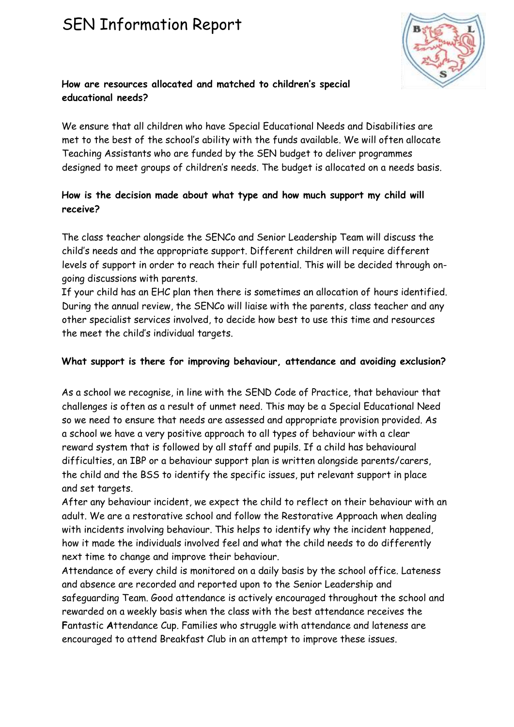

## **How are resources allocated and matched to children's special educational needs?**

We ensure that all children who have Special Educational Needs and Disabilities are met to the best of the school's ability with the funds available. We will often allocate Teaching Assistants who are funded by the SEN budget to deliver programmes designed to meet groups of children's needs. The budget is allocated on a needs basis.

### **How is the decision made about what type and how much support my child will receive?**

The class teacher alongside the SENCo and Senior Leadership Team will discuss the child's needs and the appropriate support. Different children will require different levels of support in order to reach their full potential. This will be decided through ongoing discussions with parents.

If your child has an EHC plan then there is sometimes an allocation of hours identified. During the annual review, the SENCo will liaise with the parents, class teacher and any other specialist services involved, to decide how best to use this time and resources the meet the child's individual targets.

### **What support is there for improving behaviour, attendance and avoiding exclusion?**

As a school we recognise, in line with the SEND Code of Practice, that behaviour that challenges is often as a result of unmet need. This may be a Special Educational Need so we need to ensure that needs are assessed and appropriate provision provided. As a school we have a very positive approach to all types of behaviour with a clear reward system that is followed by all staff and pupils. If a child has behavioural difficulties, an IBP or a behaviour support plan is written alongside parents/carers, the child and the BSS to identify the specific issues, put relevant support in place and set targets.

After any behaviour incident, we expect the child to reflect on their behaviour with an adult. We are a restorative school and follow the Restorative Approach when dealing with incidents involving behaviour. This helps to identify why the incident happened, how it made the individuals involved feel and what the child needs to do differently next time to change and improve their behaviour.

Attendance of every child is monitored on a daily basis by the school office. Lateness and absence are recorded and reported upon to the Senior Leadership and safeguarding Team. Good attendance is actively encouraged throughout the school and rewarded on a weekly basis when the class with the best attendance receives the **F**antastic **A**ttendance Cup. Families who struggle with attendance and lateness are encouraged to attend Breakfast Club in an attempt to improve these issues.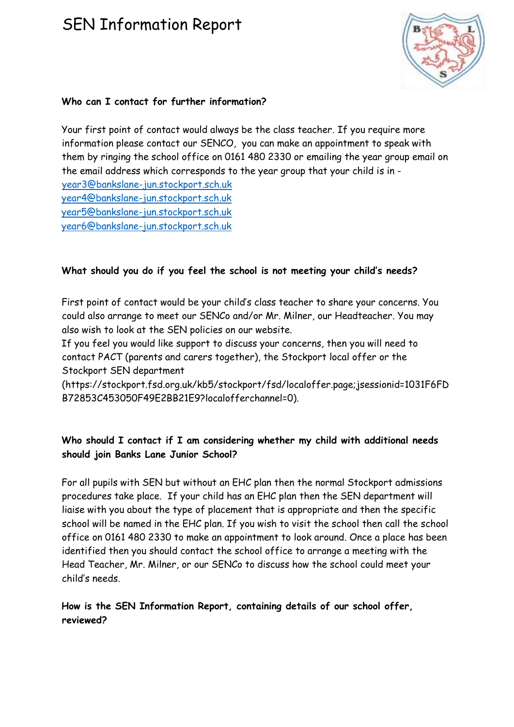

#### **Who can I contact for further information?**

Your first point of contact would always be the class teacher. If you require more information please contact our SENCO, you can make an appointment to speak with them by ringing the school office on 0161 480 2330 or emailing the year group email on the email address which corresponds to the year group that your child is in [year3@bankslane-jun.stockport.sch.uk](mailto:year3@bankslane-jun.stockport.sch.uk) [year4@bankslane-jun.stockport.sch.uk](mailto:year4@bankslane-jun.stockport.sch.uk) [year5@bankslane-jun.stockport.sch.uk](mailto:year5@bankslane-jun.stockport.sch.uk)

[year6@bankslane-jun.stockport.sch.uk](mailto:year6@bankslane-jun.stockport.sch.uk)

## **What should you do if you feel the school is not meeting your child's needs?**

First point of contact would be your child's class teacher to share your concerns. You could also arrange to meet our SENCo and/or Mr. Milner, our Headteacher. You may also wish to look at the SEN policies on our website.

If you feel you would like support to discuss your concerns, then you will need to contact PACT (parents and carers together), the Stockport local offer or the Stockport SEN department

(https://stockport.fsd.org.uk/kb5/stockport/fsd/localoffer.page;jsessionid=1031F6FD B72853C453050F49E2BB21E9?localofferchannel=0).

### **Who should I contact if I am considering whether my child with additional needs should join Banks Lane Junior School?**

For all pupils with SEN but without an EHC plan then the normal Stockport admissions procedures take place. If your child has an EHC plan then the SEN department will liaise with you about the type of placement that is appropriate and then the specific school will be named in the EHC plan. If you wish to visit the school then call the school office on 0161 480 2330 to make an appointment to look around. Once a place has been identified then you should contact the school office to arrange a meeting with the Head Teacher, Mr. Milner, or our SENCo to discuss how the school could meet your child's needs.

### **How is the SEN Information Report, containing details of our school offer, reviewed?**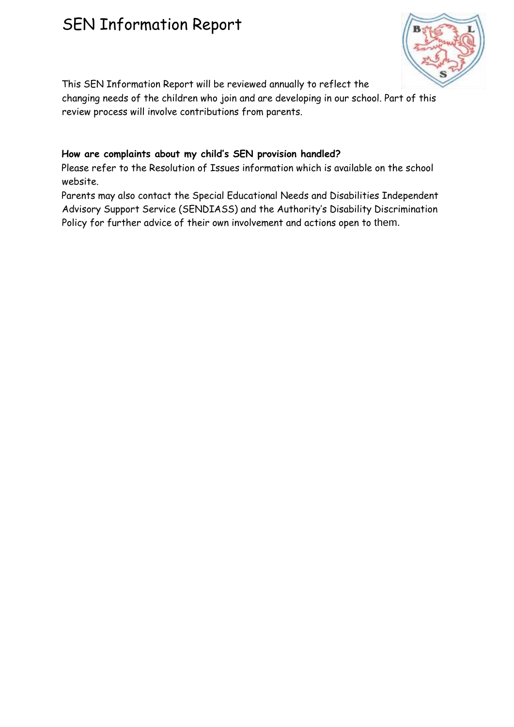

This SEN Information Report will be reviewed annually to reflect the

changing needs of the children who join and are developing in our school. Part of this review process will involve contributions from parents.

## **How are complaints about my child's SEN provision handled?**

Please refer to the Resolution of Issues information which is available on the school website.

Parents may also contact the Special Educational Needs and Disabilities Independent Advisory Support Service (SENDIASS) and the Authority's Disability Discrimination Policy for further advice of their own involvement and actions open to them.